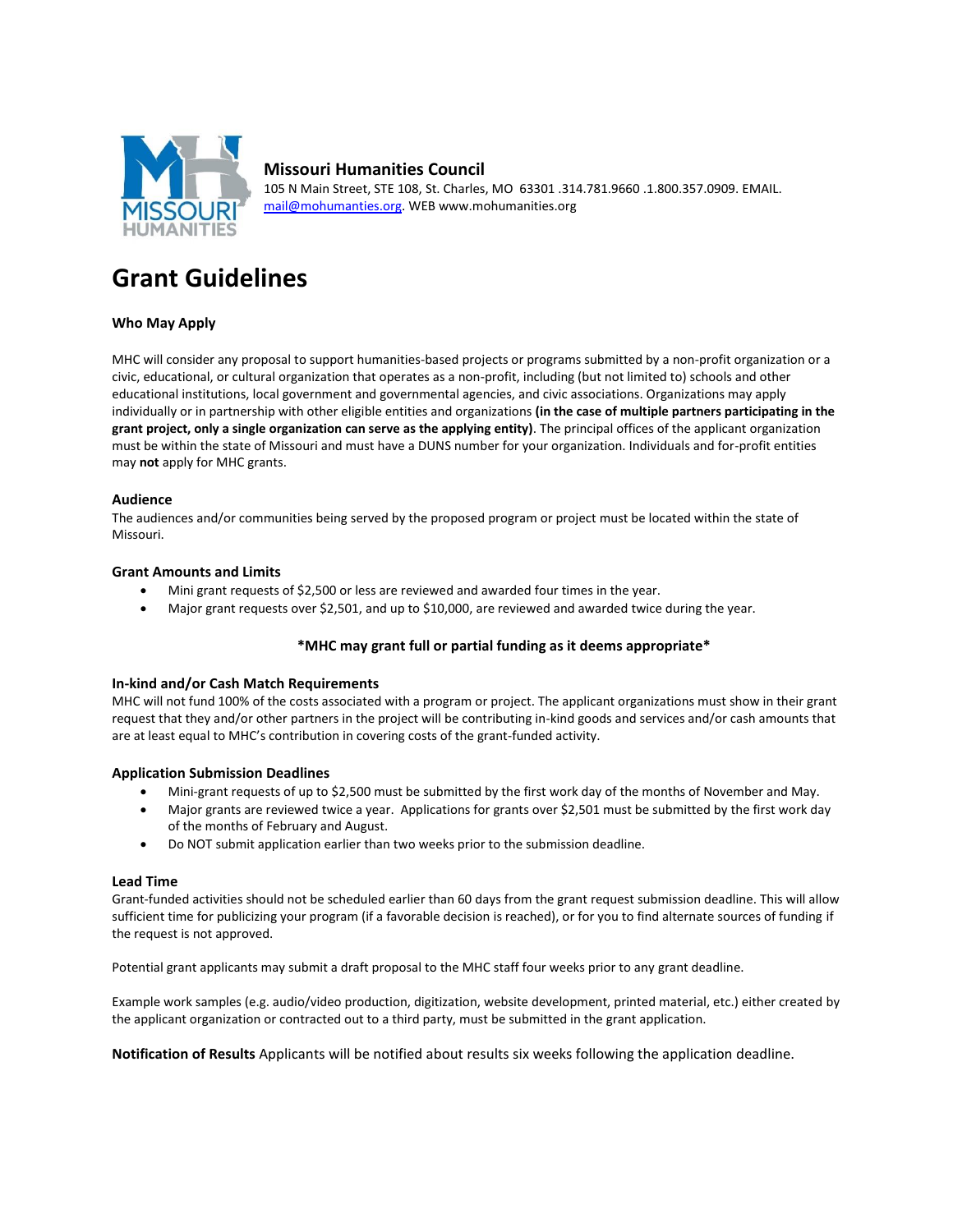

# **Missouri Humanities Council**

105 N Main Street, STE 108, St. Charles, MO 63301 .314.781.9660 .1.800.357.0909. EMAIL. [mail@mohumanties.org.](mailto:mail@mohumanties.org) WEB www.mohumanities.org

# **Grant Guidelines**

## **Who May Apply**

MHC will consider any proposal to support humanities-based projects or programs submitted by a non-profit organization or a civic, educational, or cultural organization that operates as a non-profit, including (but not limited to) schools and other educational institutions, local government and governmental agencies, and civic associations. Organizations may apply individually or in partnership with other eligible entities and organizations **(in the case of multiple partners participating in the grant project, only a single organization can serve as the applying entity)**. The principal offices of the applicant organization must be within the state of Missouri and must have a DUNS number for your organization. Individuals and for-profit entities may **not** apply for MHC grants.

#### **Audience**

The audiences and/or communities being served by the proposed program or project must be located within the state of Missouri.

## **Grant Amounts and Limits**

- Mini grant requests of \$2,500 or less are reviewed and awarded four times in the year.
- Major grant requests over \$2,501, and up to \$10,000, are reviewed and awarded twice during the year.

## **\*MHC may grant full or partial funding as it deems appropriate\***

## **In-kind and/or Cash Match Requirements**

MHC will not fund 100% of the costs associated with a program or project. The applicant organizations must show in their grant request that they and/or other partners in the project will be contributing in-kind goods and services and/or cash amounts that are at least equal to MHC's contribution in covering costs of the grant-funded activity.

#### **Application Submission Deadlines**

- Mini-grant requests of up to \$2,500 must be submitted by the first work day of the months of November and May.
- Major grants are reviewed twice a year. Applications for grants over \$2,501 must be submitted by the first work day of the months of February and August.
- Do NOT submit application earlier than two weeks prior to the submission deadline.

#### **Lead Time**

Grant-funded activities should not be scheduled earlier than 60 days from the grant request submission deadline. This will allow sufficient time for publicizing your program (if a favorable decision is reached), or for you to find alternate sources of funding if the request is not approved.

Potential grant applicants may submit a draft proposal to the MHC staff four weeks prior to any grant deadline.

Example work samples (e.g. audio/video production, digitization, website development, printed material, etc.) either created by the applicant organization or contracted out to a third party, must be submitted in the grant application.

**Notification of Results** Applicants will be notified about results six weeks following the application deadline.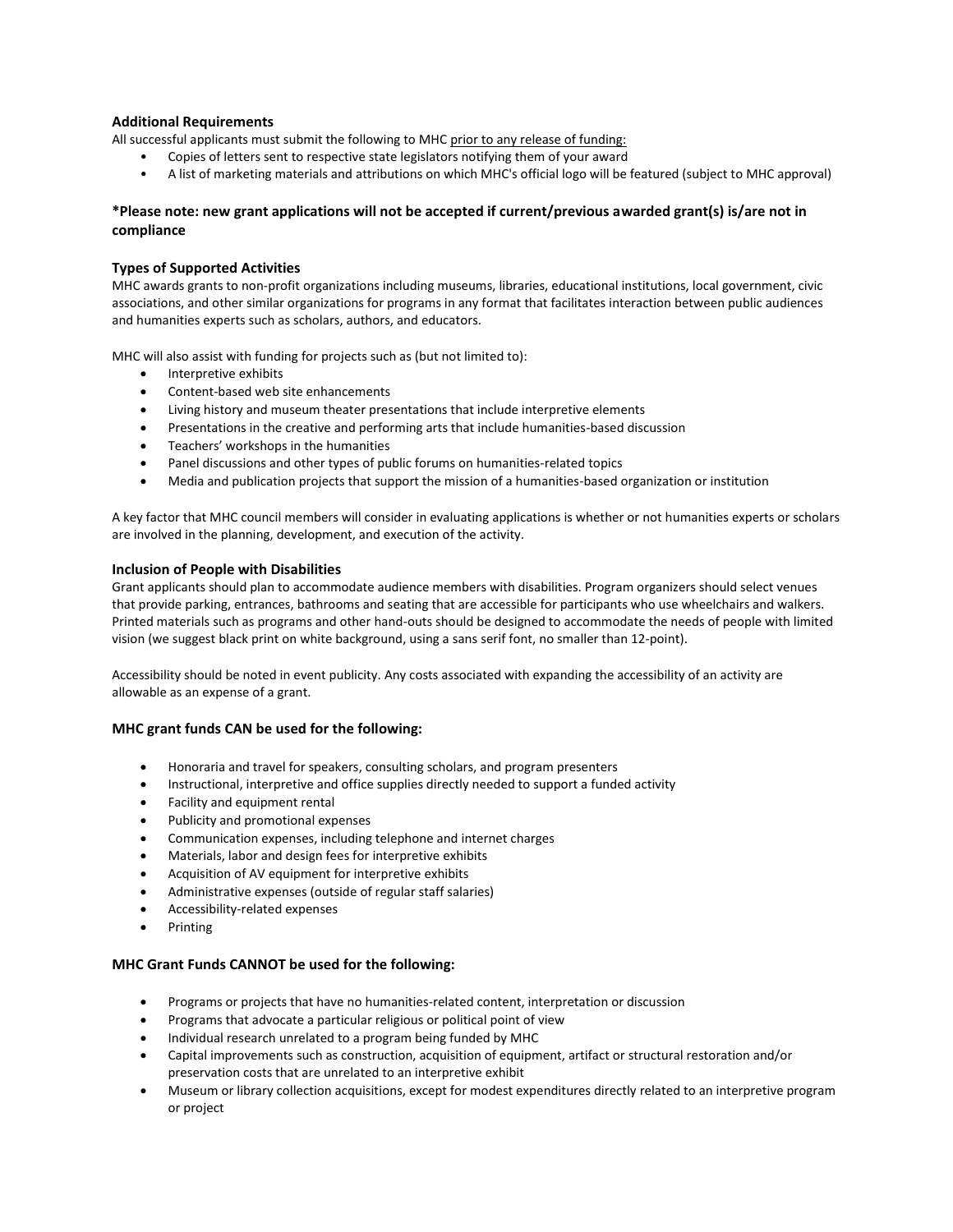## **Additional Requirements**

All successful applicants must submit the following to MHC prior to any release of funding:

- Copies of letters sent to respective state legislators notifying them of your award
- A list of marketing materials and attributions on which MHC's official logo will be featured (subject to MHC approval)

## **\*Please note: new grant applications will not be accepted if current/previous awarded grant(s) is/are not in compliance**

### **Types of Supported Activities**

MHC awards grants to non-profit organizations including museums, libraries, educational institutions, local government, civic associations, and other similar organizations for programs in any format that facilitates interaction between public audiences and humanities experts such as scholars, authors, and educators.

MHC will also assist with funding for projects such as (but not limited to):

- Interpretive exhibits
- Content-based web site enhancements
- Living history and museum theater presentations that include interpretive elements
- Presentations in the creative and performing arts that include humanities-based discussion
- Teachers' workshops in the humanities
- Panel discussions and other types of public forums on humanities-related topics
- Media and publication projects that support the mission of a humanities-based organization or institution

A key factor that MHC council members will consider in evaluating applications is whether or not humanities experts or scholars are involved in the planning, development, and execution of the activity.

#### **Inclusion of People with Disabilities**

Grant applicants should plan to accommodate audience members with disabilities. Program organizers should select venues that provide parking, entrances, bathrooms and seating that are accessible for participants who use wheelchairs and walkers. Printed materials such as programs and other hand-outs should be designed to accommodate the needs of people with limited vision (we suggest black print on white background, using a sans serif font, no smaller than 12-point).

Accessibility should be noted in event publicity. Any costs associated with expanding the accessibility of an activity are allowable as an expense of a grant.

## **MHC grant funds CAN be used for the following:**

- Honoraria and travel for speakers, consulting scholars, and program presenters
- Instructional, interpretive and office supplies directly needed to support a funded activity
- Facility and equipment rental
- Publicity and promotional expenses
- Communication expenses, including telephone and internet charges
- Materials, labor and design fees for interpretive exhibits
- Acquisition of AV equipment for interpretive exhibits
- Administrative expenses (outside of regular staff salaries)
- Accessibility-related expenses
- Printing

#### **MHC Grant Funds CANNOT be used for the following:**

- Programs or projects that have no humanities-related content, interpretation or discussion
- Programs that advocate a particular religious or political point of view
- Individual research unrelated to a program being funded by MHC
- Capital improvements such as construction, acquisition of equipment, artifact or structural restoration and/or preservation costs that are unrelated to an interpretive exhibit
- Museum or library collection acquisitions, except for modest expenditures directly related to an interpretive program or project